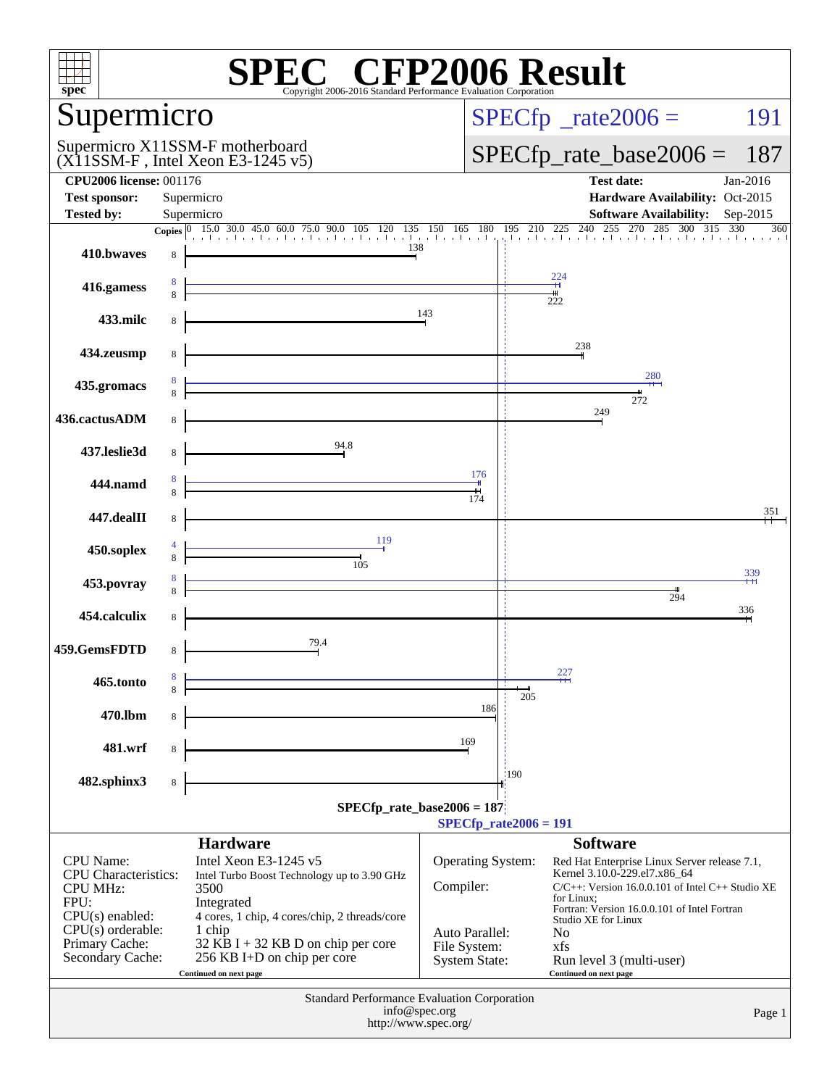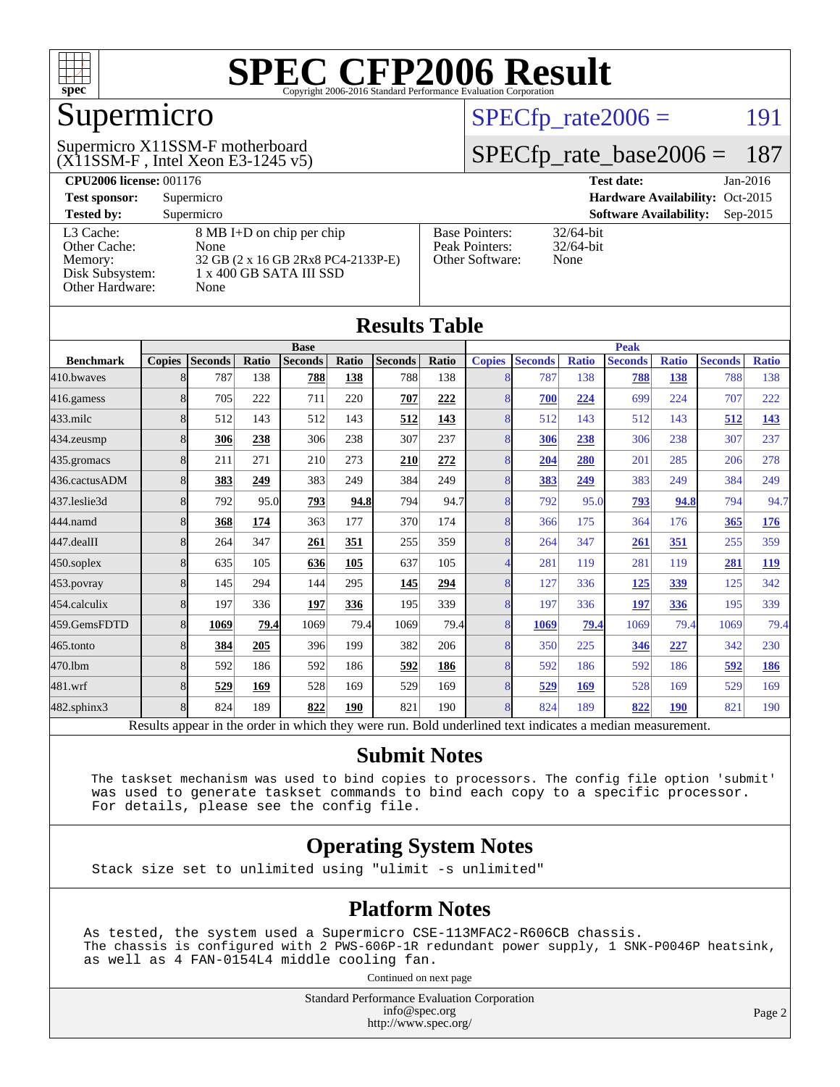

### Supermicro

#### $(X11SSM-F$ , Intel Xeon E3-1245 v5) Supermicro X11SSM-F motherboard

 $SPECTp_rate2006 = 191$ 

#### [SPECfp\\_rate\\_base2006 =](http://www.spec.org/auto/cpu2006/Docs/result-fields.html#SPECfpratebase2006) 187

| <b>CPU2006 license: 001176</b> |                                    |                                 | <b>Test date:</b><br>$Jan-2016$             |  |  |  |
|--------------------------------|------------------------------------|---------------------------------|---------------------------------------------|--|--|--|
| <b>Test sponsor:</b>           | Supermicro                         | Hardware Availability: Oct-2015 |                                             |  |  |  |
| <b>Tested by:</b>              | Supermicro                         |                                 | <b>Software Availability:</b><br>$Sep-2015$ |  |  |  |
| L3 Cache:                      | 8 MB I+D on chip per chip          | <b>Base Pointers:</b>           | $32/64$ -bit                                |  |  |  |
| Other Cache:                   | None                               | Peak Pointers:                  | $32/64$ -bit                                |  |  |  |
| Memory:                        | 32 GB (2 x 16 GB 2Rx8 PC4-2133P-E) | Other Software:                 | None                                        |  |  |  |
| Disk Subsystem:                | 1 x 400 GB SATA III SSD            |                                 |                                             |  |  |  |
| Other Hardware:                | None                               |                                 |                                             |  |  |  |

**[Results Table](http://www.spec.org/auto/cpu2006/Docs/result-fields.html#ResultsTable)**

| Results Tadie    |                |                |       |                                                                                                          |       |                |       |                |                |              |                |              |                |              |
|------------------|----------------|----------------|-------|----------------------------------------------------------------------------------------------------------|-------|----------------|-------|----------------|----------------|--------------|----------------|--------------|----------------|--------------|
|                  | <b>Base</b>    |                |       |                                                                                                          |       | <b>Peak</b>    |       |                |                |              |                |              |                |              |
| <b>Benchmark</b> | <b>Copies</b>  | <b>Seconds</b> | Ratio | <b>Seconds</b>                                                                                           | Ratio | <b>Seconds</b> | Ratio | <b>Copies</b>  | <b>Seconds</b> | <b>Ratio</b> | <b>Seconds</b> | <b>Ratio</b> | <b>Seconds</b> | <b>Ratio</b> |
| 410.bwayes       | 8              | 787            | 138   | 788                                                                                                      | 138   | 788            | 138   | 8              | 787            | 138          | 788            | 138          | 788            | 138          |
| 416.gamess       | 8              | 705            | 222   | 711                                                                                                      | 220   | 707            | 222   | 8              | 700            | 224          | 699            | 224          | 707            | 222          |
| $433$ .milc      | 8              | 512            | 143   | 512                                                                                                      | 143   | 512            | 143   | 8              | 512            | 143          | 512            | 143          | 512            | 143          |
| 434.zeusmp       | 8              | 306            | 238   | 306                                                                                                      | 238   | 307            | 237   | 8              | 306            | 238          | 306            | 238          | 307            | 237          |
| 435.gromacs      | 8              | 211            | 271   | 210                                                                                                      | 273   | 210            | 272   | 8              | 204            | 280          | 201            | 285          | 206            | 278          |
| 436.cactusADM    | 8              | 383            | 249   | 383                                                                                                      | 249   | 384            | 249   | 8              | 383            | 249          | 383            | 249          | 384            | 249          |
| 437.leslie3d     | 8              | 792            | 95.0  | 793                                                                                                      | 94.8  | 794            | 94.7  | 8              | 792            | 95.0         | 793            | 94.8         | 794            | 94.7         |
| 444.namd         | 8              | 368            | 174   | 363                                                                                                      | 177   | 370            | 174   | 8              | 366            | 175          | 364            | 176          | 365            | <u>176</u>   |
| 447.dealII       | $\overline{8}$ | 264            | 347   | 261                                                                                                      | 351   | 255            | 359   | $\overline{8}$ | 264            | 347          | 261            | 351          | 255            | 359          |
| 450.soplex       | $\overline{8}$ | 635            | 105   | 636                                                                                                      | 105   | 637            | 105   | $\overline{4}$ | 281            | 119          | 281            | 119          | 281            | <b>119</b>   |
| 453.povray       | 8              | 145            | 294   | 144                                                                                                      | 295   | 145            | 294   | 8              | 127            | 336          | <u>125</u>     | 339          | 125            | 342          |
| 454.calculix     | 8              | 197            | 336   | 197                                                                                                      | 336   | 195            | 339   | 8              | 197            | 336          | 197            | 336          | 195            | 339          |
| 459.GemsFDTD     | 8              | 1069           | 79.4  | 1069                                                                                                     | 79.4  | 1069           | 79.4  | 8              | 1069           | 79.4         | 1069           | 79.4         | 1069           | 79.4         |
| 465.tonto        | 8              | 384            | 205   | 396                                                                                                      | 199   | 382            | 206   | $\overline{8}$ | 350            | 225          | 346            | 227          | 342            | 230          |
| 470.1bm          | 8              | 592            | 186   | 592                                                                                                      | 186   | 592            | 186   | 8              | 592            | 186          | 592            | 186          | 592            | 186          |
| 481.wrf          | 8              | 529            | 169   | 528                                                                                                      | 169   | 529            | 169   | 8              | 529            | 169          | 528            | 169          | 529            | 169          |
| 482.sphinx3      | $\overline{8}$ | 824            | 189   | 822                                                                                                      | 190   | 821            | 190   | 8              | 824            | 189          | 822            | <b>190</b>   | 821            | 190          |
|                  |                |                |       | Results appear in the order in which they were run. Bold underlined text indicates a median measurement. |       |                |       |                |                |              |                |              |                |              |

**[Submit Notes](http://www.spec.org/auto/cpu2006/Docs/result-fields.html#SubmitNotes)**

 The taskset mechanism was used to bind copies to processors. The config file option 'submit' was used to generate taskset commands to bind each copy to a specific processor. For details, please see the config file.

#### **[Operating System Notes](http://www.spec.org/auto/cpu2006/Docs/result-fields.html#OperatingSystemNotes)**

Stack size set to unlimited using "ulimit -s unlimited"

#### **[Platform Notes](http://www.spec.org/auto/cpu2006/Docs/result-fields.html#PlatformNotes)**

As tested, the system used a Supermicro CSE-113MFAC2-R606CB chassis. The chassis is configured with 2 PWS-606P-1R redundant power supply, 1 SNK-P0046P heatsink, as well as 4 FAN-0154L4 middle cooling fan.

Continued on next page

Standard Performance Evaluation Corporation [info@spec.org](mailto:info@spec.org) <http://www.spec.org/>

Page 2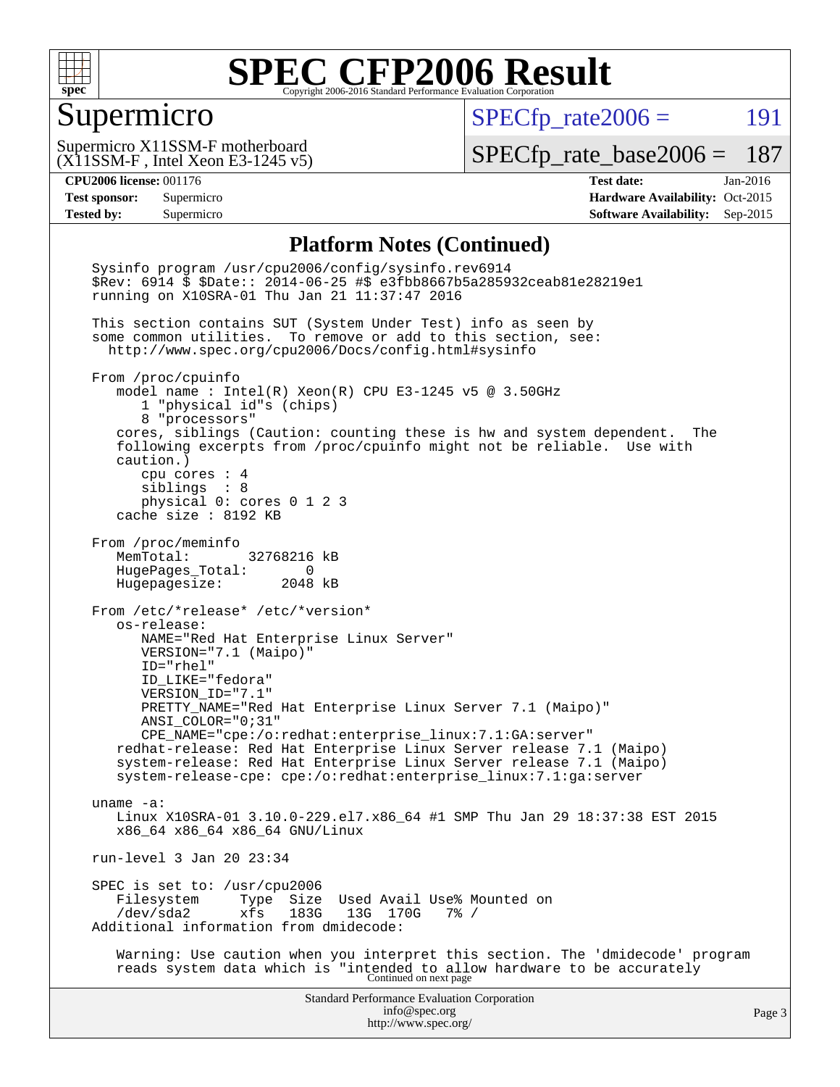

#### Supermicro

 $SPECfp_rate2006 =$  191

(X11SSM-F , Intel Xeon E3-1245 v5) Supermicro X11SSM-F motherboard

[SPECfp\\_rate\\_base2006 =](http://www.spec.org/auto/cpu2006/Docs/result-fields.html#SPECfpratebase2006) 187

**[CPU2006 license:](http://www.spec.org/auto/cpu2006/Docs/result-fields.html#CPU2006license)** 001176 **[Test date:](http://www.spec.org/auto/cpu2006/Docs/result-fields.html#Testdate)** Jan-2016 **[Test sponsor:](http://www.spec.org/auto/cpu2006/Docs/result-fields.html#Testsponsor)** Supermicro Supermicro **[Hardware Availability:](http://www.spec.org/auto/cpu2006/Docs/result-fields.html#HardwareAvailability)** Oct-2015 **[Tested by:](http://www.spec.org/auto/cpu2006/Docs/result-fields.html#Testedby)** Supermicro **Supermicro [Software Availability:](http://www.spec.org/auto/cpu2006/Docs/result-fields.html#SoftwareAvailability)** Sep-2015

#### **[Platform Notes \(Continued\)](http://www.spec.org/auto/cpu2006/Docs/result-fields.html#PlatformNotes)**

Standard Performance Evaluation Corporation [info@spec.org](mailto:info@spec.org) <http://www.spec.org/> Page 3 Sysinfo program /usr/cpu2006/config/sysinfo.rev6914 \$Rev: 6914 \$ \$Date:: 2014-06-25 #\$ e3fbb8667b5a285932ceab81e28219e1 running on X10SRA-01 Thu Jan 21 11:37:47 2016 This section contains SUT (System Under Test) info as seen by some common utilities. To remove or add to this section, see: <http://www.spec.org/cpu2006/Docs/config.html#sysinfo> From /proc/cpuinfo model name : Intel(R) Xeon(R) CPU E3-1245 v5 @ 3.50GHz 1 "physical id"s (chips) 8 "processors" cores, siblings (Caution: counting these is hw and system dependent. The following excerpts from /proc/cpuinfo might not be reliable. Use with caution.) cpu cores : 4 siblings : 8 physical 0: cores 0 1 2 3 cache size : 8192 KB From /proc/meminfo MemTotal: 32768216 kB HugePages\_Total: 0 Hugepagesize: 2048 kB From /etc/\*release\* /etc/\*version\* os-release: NAME="Red Hat Enterprise Linux Server" VERSION="7.1 (Maipo)" ID="rhel" ID\_LIKE="fedora" VERSION\_ID="7.1" PRETTY\_NAME="Red Hat Enterprise Linux Server 7.1 (Maipo)" ANSI\_COLOR="0;31" CPE\_NAME="cpe:/o:redhat:enterprise\_linux:7.1:GA:server" redhat-release: Red Hat Enterprise Linux Server release 7.1 (Maipo) system-release: Red Hat Enterprise Linux Server release 7.1 (Maipo) system-release-cpe: cpe:/o:redhat:enterprise\_linux:7.1:ga:server uname -a: Linux X10SRA-01 3.10.0-229.el7.x86\_64 #1 SMP Thu Jan 29 18:37:38 EST 2015 x86\_64 x86\_64 x86\_64 GNU/Linux run-level 3 Jan 20 23:34 SPEC is set to: /usr/cpu2006<br>Filesystem Type Size Filesystem Type Size Used Avail Use% Mounted on<br>/dev/sda2 xfs 183G 13G 170G 7% / /dev/sda2 xfs 183G 13G 170G 7% / Additional information from dmidecode: Warning: Use caution when you interpret this section. The 'dmidecode' program reads system data which is "intended to allow hardware to be accurately Continued on next page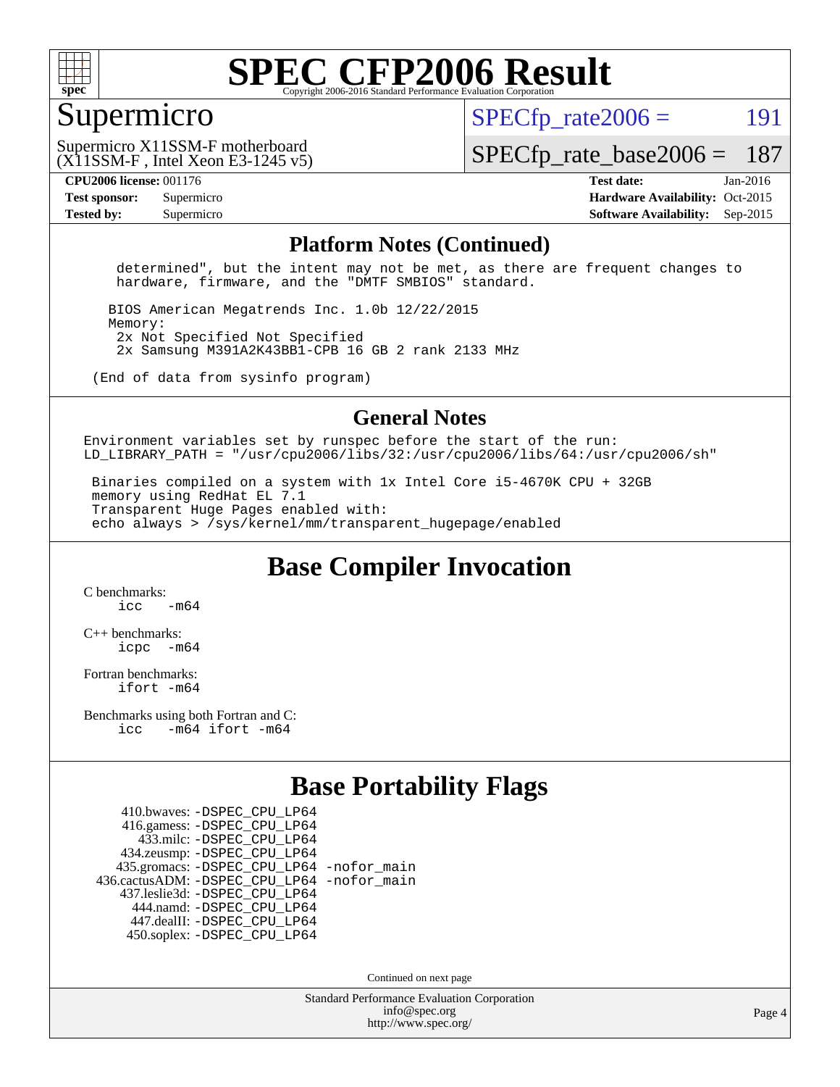

#### Supermicro

 $SPECTp\_rate2006 = 191$ 

(X11SSM-F , Intel Xeon E3-1245 v5) Supermicro X11SSM-F motherboard

[SPECfp\\_rate\\_base2006 =](http://www.spec.org/auto/cpu2006/Docs/result-fields.html#SPECfpratebase2006) 187

**[CPU2006 license:](http://www.spec.org/auto/cpu2006/Docs/result-fields.html#CPU2006license)** 001176 **[Test date:](http://www.spec.org/auto/cpu2006/Docs/result-fields.html#Testdate)** Jan-2016 **[Test sponsor:](http://www.spec.org/auto/cpu2006/Docs/result-fields.html#Testsponsor)** Supermicro Supermicro **[Hardware Availability:](http://www.spec.org/auto/cpu2006/Docs/result-fields.html#HardwareAvailability)** Oct-2015 **[Tested by:](http://www.spec.org/auto/cpu2006/Docs/result-fields.html#Testedby)** Supermicro **Supermicro [Software Availability:](http://www.spec.org/auto/cpu2006/Docs/result-fields.html#SoftwareAvailability)** Sep-2015

#### **[Platform Notes \(Continued\)](http://www.spec.org/auto/cpu2006/Docs/result-fields.html#PlatformNotes)**

 determined", but the intent may not be met, as there are frequent changes to hardware, firmware, and the "DMTF SMBIOS" standard.

 BIOS American Megatrends Inc. 1.0b 12/22/2015 Memory: 2x Not Specified Not Specified 2x Samsung M391A2K43BB1-CPB 16 GB 2 rank 2133 MHz

(End of data from sysinfo program)

#### **[General Notes](http://www.spec.org/auto/cpu2006/Docs/result-fields.html#GeneralNotes)**

Environment variables set by runspec before the start of the run: LD LIBRARY\_PATH = "/usr/cpu2006/libs/32:/usr/cpu2006/libs/64:/usr/cpu2006/sh"

 Binaries compiled on a system with 1x Intel Core i5-4670K CPU + 32GB memory using RedHat EL 7.1 Transparent Huge Pages enabled with: echo always > /sys/kernel/mm/transparent\_hugepage/enabled

**[Base Compiler Invocation](http://www.spec.org/auto/cpu2006/Docs/result-fields.html#BaseCompilerInvocation)**

[C benchmarks](http://www.spec.org/auto/cpu2006/Docs/result-fields.html#Cbenchmarks):  $icc$   $-m64$ 

[C++ benchmarks:](http://www.spec.org/auto/cpu2006/Docs/result-fields.html#CXXbenchmarks) [icpc -m64](http://www.spec.org/cpu2006/results/res2016q1/cpu2006-20160125-38778.flags.html#user_CXXbase_intel_icpc_64bit_bedb90c1146cab66620883ef4f41a67e)

[Fortran benchmarks](http://www.spec.org/auto/cpu2006/Docs/result-fields.html#Fortranbenchmarks): [ifort -m64](http://www.spec.org/cpu2006/results/res2016q1/cpu2006-20160125-38778.flags.html#user_FCbase_intel_ifort_64bit_ee9d0fb25645d0210d97eb0527dcc06e)

[Benchmarks using both Fortran and C](http://www.spec.org/auto/cpu2006/Docs/result-fields.html#BenchmarksusingbothFortranandC): [icc -m64](http://www.spec.org/cpu2006/results/res2016q1/cpu2006-20160125-38778.flags.html#user_CC_FCbase_intel_icc_64bit_0b7121f5ab7cfabee23d88897260401c) [ifort -m64](http://www.spec.org/cpu2006/results/res2016q1/cpu2006-20160125-38778.flags.html#user_CC_FCbase_intel_ifort_64bit_ee9d0fb25645d0210d97eb0527dcc06e)

### **[Base Portability Flags](http://www.spec.org/auto/cpu2006/Docs/result-fields.html#BasePortabilityFlags)**

 410.bwaves: [-DSPEC\\_CPU\\_LP64](http://www.spec.org/cpu2006/results/res2016q1/cpu2006-20160125-38778.flags.html#suite_basePORTABILITY410_bwaves_DSPEC_CPU_LP64) 416.gamess: [-DSPEC\\_CPU\\_LP64](http://www.spec.org/cpu2006/results/res2016q1/cpu2006-20160125-38778.flags.html#suite_basePORTABILITY416_gamess_DSPEC_CPU_LP64) 433.milc: [-DSPEC\\_CPU\\_LP64](http://www.spec.org/cpu2006/results/res2016q1/cpu2006-20160125-38778.flags.html#suite_basePORTABILITY433_milc_DSPEC_CPU_LP64) 434.zeusmp: [-DSPEC\\_CPU\\_LP64](http://www.spec.org/cpu2006/results/res2016q1/cpu2006-20160125-38778.flags.html#suite_basePORTABILITY434_zeusmp_DSPEC_CPU_LP64) 435.gromacs: [-DSPEC\\_CPU\\_LP64](http://www.spec.org/cpu2006/results/res2016q1/cpu2006-20160125-38778.flags.html#suite_basePORTABILITY435_gromacs_DSPEC_CPU_LP64) [-nofor\\_main](http://www.spec.org/cpu2006/results/res2016q1/cpu2006-20160125-38778.flags.html#user_baseLDPORTABILITY435_gromacs_f-nofor_main) 436.cactusADM: [-DSPEC\\_CPU\\_LP64](http://www.spec.org/cpu2006/results/res2016q1/cpu2006-20160125-38778.flags.html#suite_basePORTABILITY436_cactusADM_DSPEC_CPU_LP64) [-nofor\\_main](http://www.spec.org/cpu2006/results/res2016q1/cpu2006-20160125-38778.flags.html#user_baseLDPORTABILITY436_cactusADM_f-nofor_main) 437.leslie3d: [-DSPEC\\_CPU\\_LP64](http://www.spec.org/cpu2006/results/res2016q1/cpu2006-20160125-38778.flags.html#suite_basePORTABILITY437_leslie3d_DSPEC_CPU_LP64) 444.namd: [-DSPEC\\_CPU\\_LP64](http://www.spec.org/cpu2006/results/res2016q1/cpu2006-20160125-38778.flags.html#suite_basePORTABILITY444_namd_DSPEC_CPU_LP64) 447.dealII: [-DSPEC\\_CPU\\_LP64](http://www.spec.org/cpu2006/results/res2016q1/cpu2006-20160125-38778.flags.html#suite_basePORTABILITY447_dealII_DSPEC_CPU_LP64) 450.soplex: [-DSPEC\\_CPU\\_LP64](http://www.spec.org/cpu2006/results/res2016q1/cpu2006-20160125-38778.flags.html#suite_basePORTABILITY450_soplex_DSPEC_CPU_LP64)

Continued on next page

Standard Performance Evaluation Corporation [info@spec.org](mailto:info@spec.org) <http://www.spec.org/>

Page 4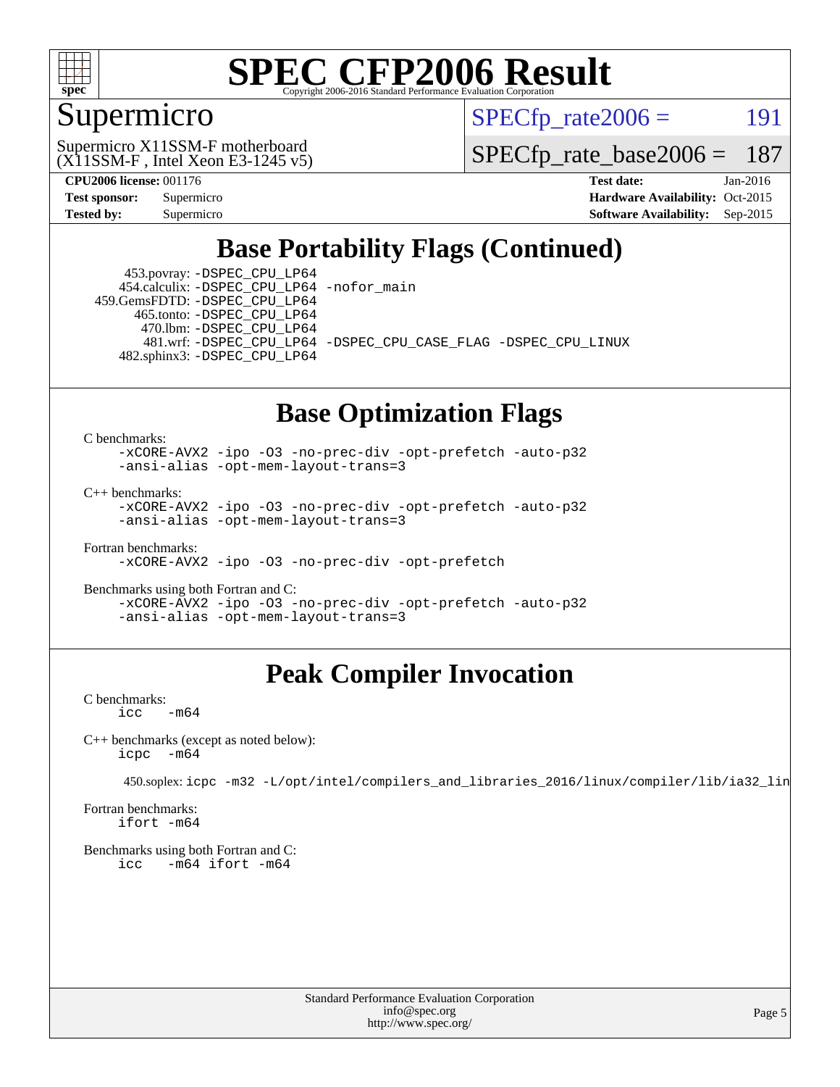

### Supermicro

 $SPECTp\_rate2006 = 191$ 

(X11SSM-F , Intel Xeon E3-1245 v5) Supermicro X11SSM-F motherboard

[SPECfp\\_rate\\_base2006 =](http://www.spec.org/auto/cpu2006/Docs/result-fields.html#SPECfpratebase2006) 187

**[CPU2006 license:](http://www.spec.org/auto/cpu2006/Docs/result-fields.html#CPU2006license)** 001176 **[Test date:](http://www.spec.org/auto/cpu2006/Docs/result-fields.html#Testdate)** Jan-2016 **[Test sponsor:](http://www.spec.org/auto/cpu2006/Docs/result-fields.html#Testsponsor)** Supermicro Supermicro **[Hardware Availability:](http://www.spec.org/auto/cpu2006/Docs/result-fields.html#HardwareAvailability)** Oct-2015 **[Tested by:](http://www.spec.org/auto/cpu2006/Docs/result-fields.html#Testedby)** Supermicro **Supermicro [Software Availability:](http://www.spec.org/auto/cpu2006/Docs/result-fields.html#SoftwareAvailability)** Sep-2015

### **[Base Portability Flags \(Continued\)](http://www.spec.org/auto/cpu2006/Docs/result-fields.html#BasePortabilityFlags)**

 453.povray: [-DSPEC\\_CPU\\_LP64](http://www.spec.org/cpu2006/results/res2016q1/cpu2006-20160125-38778.flags.html#suite_basePORTABILITY453_povray_DSPEC_CPU_LP64) 454.calculix: [-DSPEC\\_CPU\\_LP64](http://www.spec.org/cpu2006/results/res2016q1/cpu2006-20160125-38778.flags.html#suite_basePORTABILITY454_calculix_DSPEC_CPU_LP64) [-nofor\\_main](http://www.spec.org/cpu2006/results/res2016q1/cpu2006-20160125-38778.flags.html#user_baseLDPORTABILITY454_calculix_f-nofor_main) 459.GemsFDTD: [-DSPEC\\_CPU\\_LP64](http://www.spec.org/cpu2006/results/res2016q1/cpu2006-20160125-38778.flags.html#suite_basePORTABILITY459_GemsFDTD_DSPEC_CPU_LP64)

 465.tonto: [-DSPEC\\_CPU\\_LP64](http://www.spec.org/cpu2006/results/res2016q1/cpu2006-20160125-38778.flags.html#suite_basePORTABILITY465_tonto_DSPEC_CPU_LP64) 470.lbm: [-DSPEC\\_CPU\\_LP64](http://www.spec.org/cpu2006/results/res2016q1/cpu2006-20160125-38778.flags.html#suite_basePORTABILITY470_lbm_DSPEC_CPU_LP64)

 481.wrf: [-DSPEC\\_CPU\\_LP64](http://www.spec.org/cpu2006/results/res2016q1/cpu2006-20160125-38778.flags.html#suite_basePORTABILITY481_wrf_DSPEC_CPU_LP64) [-DSPEC\\_CPU\\_CASE\\_FLAG](http://www.spec.org/cpu2006/results/res2016q1/cpu2006-20160125-38778.flags.html#b481.wrf_baseCPORTABILITY_DSPEC_CPU_CASE_FLAG) [-DSPEC\\_CPU\\_LINUX](http://www.spec.org/cpu2006/results/res2016q1/cpu2006-20160125-38778.flags.html#b481.wrf_baseCPORTABILITY_DSPEC_CPU_LINUX) 482.sphinx3: [-DSPEC\\_CPU\\_LP64](http://www.spec.org/cpu2006/results/res2016q1/cpu2006-20160125-38778.flags.html#suite_basePORTABILITY482_sphinx3_DSPEC_CPU_LP64)

#### **[Base Optimization Flags](http://www.spec.org/auto/cpu2006/Docs/result-fields.html#BaseOptimizationFlags)**

[C benchmarks](http://www.spec.org/auto/cpu2006/Docs/result-fields.html#Cbenchmarks):

[-xCORE-AVX2](http://www.spec.org/cpu2006/results/res2016q1/cpu2006-20160125-38778.flags.html#user_CCbase_f-xAVX2_5f5fc0cbe2c9f62c816d3e45806c70d7) [-ipo](http://www.spec.org/cpu2006/results/res2016q1/cpu2006-20160125-38778.flags.html#user_CCbase_f-ipo) [-O3](http://www.spec.org/cpu2006/results/res2016q1/cpu2006-20160125-38778.flags.html#user_CCbase_f-O3) [-no-prec-div](http://www.spec.org/cpu2006/results/res2016q1/cpu2006-20160125-38778.flags.html#user_CCbase_f-no-prec-div) [-opt-prefetch](http://www.spec.org/cpu2006/results/res2016q1/cpu2006-20160125-38778.flags.html#user_CCbase_f-opt-prefetch) [-auto-p32](http://www.spec.org/cpu2006/results/res2016q1/cpu2006-20160125-38778.flags.html#user_CCbase_f-auto-p32) [-ansi-alias](http://www.spec.org/cpu2006/results/res2016q1/cpu2006-20160125-38778.flags.html#user_CCbase_f-ansi-alias) [-opt-mem-layout-trans=3](http://www.spec.org/cpu2006/results/res2016q1/cpu2006-20160125-38778.flags.html#user_CCbase_f-opt-mem-layout-trans_a7b82ad4bd7abf52556d4961a2ae94d5)

[C++ benchmarks:](http://www.spec.org/auto/cpu2006/Docs/result-fields.html#CXXbenchmarks)

[-xCORE-AVX2](http://www.spec.org/cpu2006/results/res2016q1/cpu2006-20160125-38778.flags.html#user_CXXbase_f-xAVX2_5f5fc0cbe2c9f62c816d3e45806c70d7) [-ipo](http://www.spec.org/cpu2006/results/res2016q1/cpu2006-20160125-38778.flags.html#user_CXXbase_f-ipo) [-O3](http://www.spec.org/cpu2006/results/res2016q1/cpu2006-20160125-38778.flags.html#user_CXXbase_f-O3) [-no-prec-div](http://www.spec.org/cpu2006/results/res2016q1/cpu2006-20160125-38778.flags.html#user_CXXbase_f-no-prec-div) [-opt-prefetch](http://www.spec.org/cpu2006/results/res2016q1/cpu2006-20160125-38778.flags.html#user_CXXbase_f-opt-prefetch) [-auto-p32](http://www.spec.org/cpu2006/results/res2016q1/cpu2006-20160125-38778.flags.html#user_CXXbase_f-auto-p32) [-ansi-alias](http://www.spec.org/cpu2006/results/res2016q1/cpu2006-20160125-38778.flags.html#user_CXXbase_f-ansi-alias) [-opt-mem-layout-trans=3](http://www.spec.org/cpu2006/results/res2016q1/cpu2006-20160125-38778.flags.html#user_CXXbase_f-opt-mem-layout-trans_a7b82ad4bd7abf52556d4961a2ae94d5)

[Fortran benchmarks](http://www.spec.org/auto/cpu2006/Docs/result-fields.html#Fortranbenchmarks): [-xCORE-AVX2](http://www.spec.org/cpu2006/results/res2016q1/cpu2006-20160125-38778.flags.html#user_FCbase_f-xAVX2_5f5fc0cbe2c9f62c816d3e45806c70d7) [-ipo](http://www.spec.org/cpu2006/results/res2016q1/cpu2006-20160125-38778.flags.html#user_FCbase_f-ipo) [-O3](http://www.spec.org/cpu2006/results/res2016q1/cpu2006-20160125-38778.flags.html#user_FCbase_f-O3) [-no-prec-div](http://www.spec.org/cpu2006/results/res2016q1/cpu2006-20160125-38778.flags.html#user_FCbase_f-no-prec-div) [-opt-prefetch](http://www.spec.org/cpu2006/results/res2016q1/cpu2006-20160125-38778.flags.html#user_FCbase_f-opt-prefetch)

[Benchmarks using both Fortran and C](http://www.spec.org/auto/cpu2006/Docs/result-fields.html#BenchmarksusingbothFortranandC): [-xCORE-AVX2](http://www.spec.org/cpu2006/results/res2016q1/cpu2006-20160125-38778.flags.html#user_CC_FCbase_f-xAVX2_5f5fc0cbe2c9f62c816d3e45806c70d7) [-ipo](http://www.spec.org/cpu2006/results/res2016q1/cpu2006-20160125-38778.flags.html#user_CC_FCbase_f-ipo) [-O3](http://www.spec.org/cpu2006/results/res2016q1/cpu2006-20160125-38778.flags.html#user_CC_FCbase_f-O3) [-no-prec-div](http://www.spec.org/cpu2006/results/res2016q1/cpu2006-20160125-38778.flags.html#user_CC_FCbase_f-no-prec-div) [-opt-prefetch](http://www.spec.org/cpu2006/results/res2016q1/cpu2006-20160125-38778.flags.html#user_CC_FCbase_f-opt-prefetch) [-auto-p32](http://www.spec.org/cpu2006/results/res2016q1/cpu2006-20160125-38778.flags.html#user_CC_FCbase_f-auto-p32) [-ansi-alias](http://www.spec.org/cpu2006/results/res2016q1/cpu2006-20160125-38778.flags.html#user_CC_FCbase_f-ansi-alias) [-opt-mem-layout-trans=3](http://www.spec.org/cpu2006/results/res2016q1/cpu2006-20160125-38778.flags.html#user_CC_FCbase_f-opt-mem-layout-trans_a7b82ad4bd7abf52556d4961a2ae94d5)

### **[Peak Compiler Invocation](http://www.spec.org/auto/cpu2006/Docs/result-fields.html#PeakCompilerInvocation)**

[C benchmarks](http://www.spec.org/auto/cpu2006/Docs/result-fields.html#Cbenchmarks):  $\text{icc}$   $-\text{m64}$ 

[C++ benchmarks \(except as noted below\):](http://www.spec.org/auto/cpu2006/Docs/result-fields.html#CXXbenchmarksexceptasnotedbelow) [icpc -m64](http://www.spec.org/cpu2006/results/res2016q1/cpu2006-20160125-38778.flags.html#user_CXXpeak_intel_icpc_64bit_bedb90c1146cab66620883ef4f41a67e)

450.soplex: [icpc -m32 -L/opt/intel/compilers\\_and\\_libraries\\_2016/linux/compiler/lib/ia32\\_lin](http://www.spec.org/cpu2006/results/res2016q1/cpu2006-20160125-38778.flags.html#user_peakCXXLD450_soplex_intel_icpc_b4f50a394bdb4597aa5879c16bc3f5c5)

[Fortran benchmarks](http://www.spec.org/auto/cpu2006/Docs/result-fields.html#Fortranbenchmarks): [ifort -m64](http://www.spec.org/cpu2006/results/res2016q1/cpu2006-20160125-38778.flags.html#user_FCpeak_intel_ifort_64bit_ee9d0fb25645d0210d97eb0527dcc06e)

[Benchmarks using both Fortran and C](http://www.spec.org/auto/cpu2006/Docs/result-fields.html#BenchmarksusingbothFortranandC): [icc -m64](http://www.spec.org/cpu2006/results/res2016q1/cpu2006-20160125-38778.flags.html#user_CC_FCpeak_intel_icc_64bit_0b7121f5ab7cfabee23d88897260401c) [ifort -m64](http://www.spec.org/cpu2006/results/res2016q1/cpu2006-20160125-38778.flags.html#user_CC_FCpeak_intel_ifort_64bit_ee9d0fb25645d0210d97eb0527dcc06e)

> Standard Performance Evaluation Corporation [info@spec.org](mailto:info@spec.org) <http://www.spec.org/>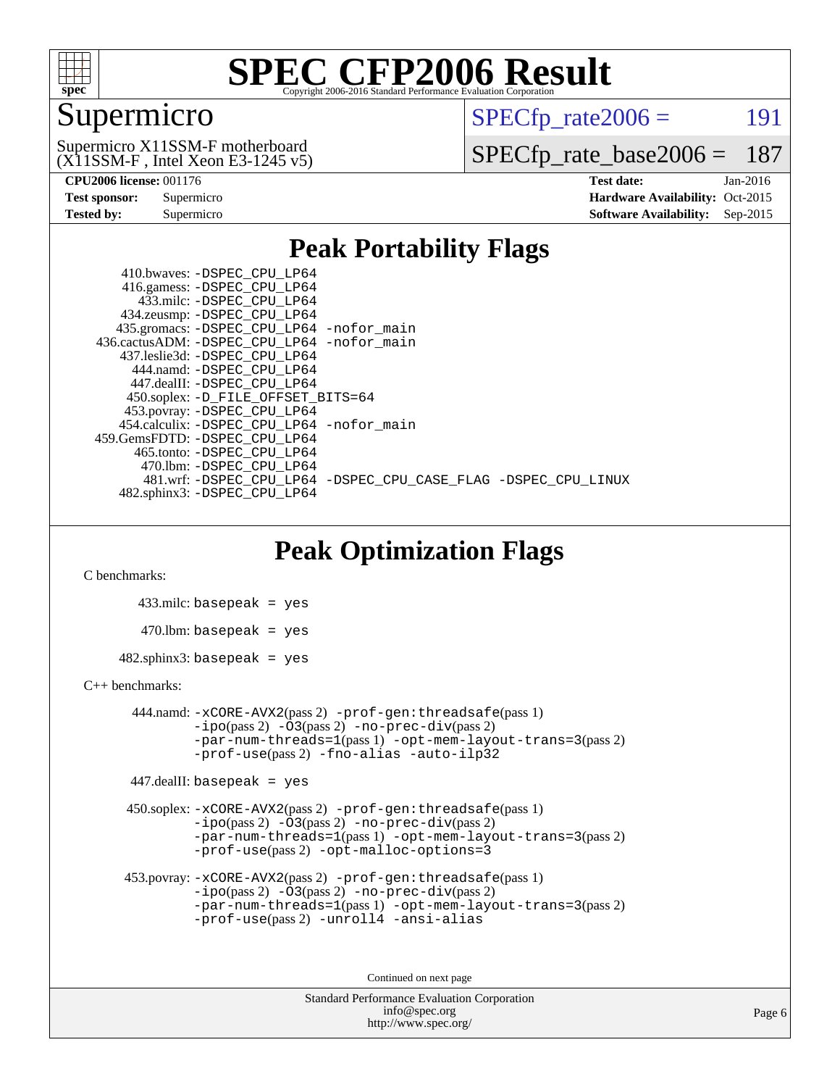

### Supermicro

 $SPECTp\_rate2006 = 191$ 

(X11SSM-F , Intel Xeon E3-1245 v5) Supermicro X11SSM-F motherboard

[SPECfp\\_rate\\_base2006 =](http://www.spec.org/auto/cpu2006/Docs/result-fields.html#SPECfpratebase2006) 187

| <b>Test sponsor:</b> | Supermicro |
|----------------------|------------|
| <b>Tested by:</b>    | Supermicro |

**[CPU2006 license:](http://www.spec.org/auto/cpu2006/Docs/result-fields.html#CPU2006license)** 001176 **[Test date:](http://www.spec.org/auto/cpu2006/Docs/result-fields.html#Testdate)** Jan-2016 **[Hardware Availability:](http://www.spec.org/auto/cpu2006/Docs/result-fields.html#HardwareAvailability)** Oct-2015 **[Software Availability:](http://www.spec.org/auto/cpu2006/Docs/result-fields.html#SoftwareAvailability)** Sep-2015

#### **[Peak Portability Flags](http://www.spec.org/auto/cpu2006/Docs/result-fields.html#PeakPortabilityFlags)**

 410.bwaves: [-DSPEC\\_CPU\\_LP64](http://www.spec.org/cpu2006/results/res2016q1/cpu2006-20160125-38778.flags.html#suite_peakPORTABILITY410_bwaves_DSPEC_CPU_LP64) 416.gamess: [-DSPEC\\_CPU\\_LP64](http://www.spec.org/cpu2006/results/res2016q1/cpu2006-20160125-38778.flags.html#suite_peakPORTABILITY416_gamess_DSPEC_CPU_LP64) 433.milc: [-DSPEC\\_CPU\\_LP64](http://www.spec.org/cpu2006/results/res2016q1/cpu2006-20160125-38778.flags.html#suite_peakPORTABILITY433_milc_DSPEC_CPU_LP64) 434.zeusmp: [-DSPEC\\_CPU\\_LP64](http://www.spec.org/cpu2006/results/res2016q1/cpu2006-20160125-38778.flags.html#suite_peakPORTABILITY434_zeusmp_DSPEC_CPU_LP64) 435.gromacs: [-DSPEC\\_CPU\\_LP64](http://www.spec.org/cpu2006/results/res2016q1/cpu2006-20160125-38778.flags.html#suite_peakPORTABILITY435_gromacs_DSPEC_CPU_LP64) [-nofor\\_main](http://www.spec.org/cpu2006/results/res2016q1/cpu2006-20160125-38778.flags.html#user_peakLDPORTABILITY435_gromacs_f-nofor_main) 436.cactusADM: [-DSPEC\\_CPU\\_LP64](http://www.spec.org/cpu2006/results/res2016q1/cpu2006-20160125-38778.flags.html#suite_peakPORTABILITY436_cactusADM_DSPEC_CPU_LP64) [-nofor\\_main](http://www.spec.org/cpu2006/results/res2016q1/cpu2006-20160125-38778.flags.html#user_peakLDPORTABILITY436_cactusADM_f-nofor_main) 437.leslie3d: [-DSPEC\\_CPU\\_LP64](http://www.spec.org/cpu2006/results/res2016q1/cpu2006-20160125-38778.flags.html#suite_peakPORTABILITY437_leslie3d_DSPEC_CPU_LP64) 444.namd: [-DSPEC\\_CPU\\_LP64](http://www.spec.org/cpu2006/results/res2016q1/cpu2006-20160125-38778.flags.html#suite_peakPORTABILITY444_namd_DSPEC_CPU_LP64) 447.dealII: [-DSPEC\\_CPU\\_LP64](http://www.spec.org/cpu2006/results/res2016q1/cpu2006-20160125-38778.flags.html#suite_peakPORTABILITY447_dealII_DSPEC_CPU_LP64) 450.soplex: [-D\\_FILE\\_OFFSET\\_BITS=64](http://www.spec.org/cpu2006/results/res2016q1/cpu2006-20160125-38778.flags.html#user_peakPORTABILITY450_soplex_file_offset_bits_64_438cf9856305ebd76870a2c6dc2689ab) 453.povray: [-DSPEC\\_CPU\\_LP64](http://www.spec.org/cpu2006/results/res2016q1/cpu2006-20160125-38778.flags.html#suite_peakPORTABILITY453_povray_DSPEC_CPU_LP64) 454.calculix: [-DSPEC\\_CPU\\_LP64](http://www.spec.org/cpu2006/results/res2016q1/cpu2006-20160125-38778.flags.html#suite_peakPORTABILITY454_calculix_DSPEC_CPU_LP64) [-nofor\\_main](http://www.spec.org/cpu2006/results/res2016q1/cpu2006-20160125-38778.flags.html#user_peakLDPORTABILITY454_calculix_f-nofor_main) 459.GemsFDTD: [-DSPEC\\_CPU\\_LP64](http://www.spec.org/cpu2006/results/res2016q1/cpu2006-20160125-38778.flags.html#suite_peakPORTABILITY459_GemsFDTD_DSPEC_CPU_LP64) 465.tonto: [-DSPEC\\_CPU\\_LP64](http://www.spec.org/cpu2006/results/res2016q1/cpu2006-20160125-38778.flags.html#suite_peakPORTABILITY465_tonto_DSPEC_CPU_LP64) 470.lbm: [-DSPEC\\_CPU\\_LP64](http://www.spec.org/cpu2006/results/res2016q1/cpu2006-20160125-38778.flags.html#suite_peakPORTABILITY470_lbm_DSPEC_CPU_LP64) 481.wrf: [-DSPEC\\_CPU\\_LP64](http://www.spec.org/cpu2006/results/res2016q1/cpu2006-20160125-38778.flags.html#suite_peakPORTABILITY481_wrf_DSPEC_CPU_LP64) [-DSPEC\\_CPU\\_CASE\\_FLAG](http://www.spec.org/cpu2006/results/res2016q1/cpu2006-20160125-38778.flags.html#b481.wrf_peakCPORTABILITY_DSPEC_CPU_CASE_FLAG) [-DSPEC\\_CPU\\_LINUX](http://www.spec.org/cpu2006/results/res2016q1/cpu2006-20160125-38778.flags.html#b481.wrf_peakCPORTABILITY_DSPEC_CPU_LINUX) 482.sphinx3: [-DSPEC\\_CPU\\_LP64](http://www.spec.org/cpu2006/results/res2016q1/cpu2006-20160125-38778.flags.html#suite_peakPORTABILITY482_sphinx3_DSPEC_CPU_LP64)

### **[Peak Optimization Flags](http://www.spec.org/auto/cpu2006/Docs/result-fields.html#PeakOptimizationFlags)**

[C benchmarks](http://www.spec.org/auto/cpu2006/Docs/result-fields.html#Cbenchmarks):

 433.milc: basepeak = yes  $470.1$ bm: basepeak = yes  $482$ .sphinx3: basepeak = yes

#### [C++ benchmarks:](http://www.spec.org/auto/cpu2006/Docs/result-fields.html#CXXbenchmarks)

 444.namd: [-xCORE-AVX2](http://www.spec.org/cpu2006/results/res2016q1/cpu2006-20160125-38778.flags.html#user_peakPASS2_CXXFLAGSPASS2_LDFLAGS444_namd_f-xAVX2_5f5fc0cbe2c9f62c816d3e45806c70d7)(pass 2) [-prof-gen:threadsafe](http://www.spec.org/cpu2006/results/res2016q1/cpu2006-20160125-38778.flags.html#user_peakPASS1_CXXFLAGSPASS1_LDFLAGS444_namd_prof_gen_21a26eb79f378b550acd7bec9fe4467a)(pass 1)  $-i\text{po}(pass 2) -03(pass 2) -no-prec-div(pass 2)$  $-i\text{po}(pass 2) -03(pass 2) -no-prec-div(pass 2)$  $-i\text{po}(pass 2) -03(pass 2) -no-prec-div(pass 2)$ [-par-num-threads=1](http://www.spec.org/cpu2006/results/res2016q1/cpu2006-20160125-38778.flags.html#user_peakPASS1_CXXFLAGSPASS1_LDFLAGS444_namd_par_num_threads_786a6ff141b4e9e90432e998842df6c2)(pass 1) [-opt-mem-layout-trans=3](http://www.spec.org/cpu2006/results/res2016q1/cpu2006-20160125-38778.flags.html#user_peakPASS2_CXXFLAGS444_namd_f-opt-mem-layout-trans_a7b82ad4bd7abf52556d4961a2ae94d5)(pass 2) [-prof-use](http://www.spec.org/cpu2006/results/res2016q1/cpu2006-20160125-38778.flags.html#user_peakPASS2_CXXFLAGSPASS2_LDFLAGS444_namd_prof_use_bccf7792157ff70d64e32fe3e1250b55)(pass 2) [-fno-alias](http://www.spec.org/cpu2006/results/res2016q1/cpu2006-20160125-38778.flags.html#user_peakCXXOPTIMIZE444_namd_f-no-alias_694e77f6c5a51e658e82ccff53a9e63a) [-auto-ilp32](http://www.spec.org/cpu2006/results/res2016q1/cpu2006-20160125-38778.flags.html#user_peakCXXOPTIMIZE444_namd_f-auto-ilp32)

447.dealII: basepeak = yes

 450.soplex: [-xCORE-AVX2](http://www.spec.org/cpu2006/results/res2016q1/cpu2006-20160125-38778.flags.html#user_peakPASS2_CXXFLAGSPASS2_LDFLAGS450_soplex_f-xAVX2_5f5fc0cbe2c9f62c816d3e45806c70d7)(pass 2) [-prof-gen:threadsafe](http://www.spec.org/cpu2006/results/res2016q1/cpu2006-20160125-38778.flags.html#user_peakPASS1_CXXFLAGSPASS1_LDFLAGS450_soplex_prof_gen_21a26eb79f378b550acd7bec9fe4467a)(pass 1)  $-i\text{po}(pass 2) -\tilde{O}3(pass 2)$  -no- $\bar{p}rec-div(pass 2)$ [-par-num-threads=1](http://www.spec.org/cpu2006/results/res2016q1/cpu2006-20160125-38778.flags.html#user_peakPASS1_CXXFLAGSPASS1_LDFLAGS450_soplex_par_num_threads_786a6ff141b4e9e90432e998842df6c2)(pass 1) [-opt-mem-layout-trans=3](http://www.spec.org/cpu2006/results/res2016q1/cpu2006-20160125-38778.flags.html#user_peakPASS2_CXXFLAGS450_soplex_f-opt-mem-layout-trans_a7b82ad4bd7abf52556d4961a2ae94d5)(pass 2) [-prof-use](http://www.spec.org/cpu2006/results/res2016q1/cpu2006-20160125-38778.flags.html#user_peakPASS2_CXXFLAGSPASS2_LDFLAGS450_soplex_prof_use_bccf7792157ff70d64e32fe3e1250b55)(pass 2) [-opt-malloc-options=3](http://www.spec.org/cpu2006/results/res2016q1/cpu2006-20160125-38778.flags.html#user_peakOPTIMIZE450_soplex_f-opt-malloc-options_13ab9b803cf986b4ee62f0a5998c2238)

```
 453.povray: -xCORE-AVX2(pass 2) -prof-gen:threadsafe(pass 1)
-no-prec-div(pass 2)-par-num-threads=1(pass 1) -opt-mem-layout-trans=3(pass 2)
-prof-use(pass 2) -unroll4 -ansi-alias
```
Continued on next page

```
Standard Performance Evaluation Corporation
      info@spec.org
   http://www.spec.org/
```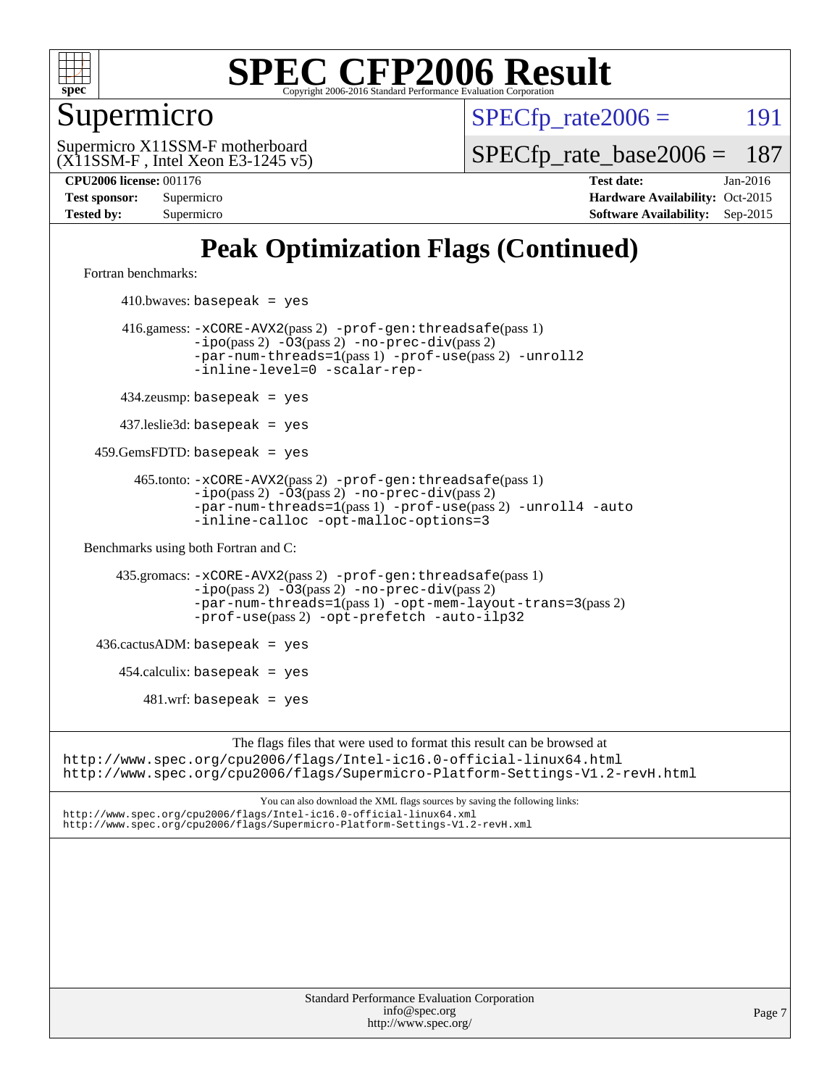

#### Supermicro

 $SPECTp\_rate2006 = 191$ 

(X11SSM-F , Intel Xeon E3-1245 v5) Supermicro X11SSM-F motherboard

[SPECfp\\_rate\\_base2006 =](http://www.spec.org/auto/cpu2006/Docs/result-fields.html#SPECfpratebase2006) 187

**[CPU2006 license:](http://www.spec.org/auto/cpu2006/Docs/result-fields.html#CPU2006license)** 001176 **[Test date:](http://www.spec.org/auto/cpu2006/Docs/result-fields.html#Testdate)** Jan-2016 **[Test sponsor:](http://www.spec.org/auto/cpu2006/Docs/result-fields.html#Testsponsor)** Supermicro Supermicro **[Hardware Availability:](http://www.spec.org/auto/cpu2006/Docs/result-fields.html#HardwareAvailability)** Oct-2015 **[Tested by:](http://www.spec.org/auto/cpu2006/Docs/result-fields.html#Testedby)** Supermicro **Supermicro [Software Availability:](http://www.spec.org/auto/cpu2006/Docs/result-fields.html#SoftwareAvailability)** Sep-2015

### **[Peak Optimization Flags \(Continued\)](http://www.spec.org/auto/cpu2006/Docs/result-fields.html#PeakOptimizationFlags)**

[Fortran benchmarks](http://www.spec.org/auto/cpu2006/Docs/result-fields.html#Fortranbenchmarks):

 $410.bwaves: basepeak = yes$  416.gamess: [-xCORE-AVX2](http://www.spec.org/cpu2006/results/res2016q1/cpu2006-20160125-38778.flags.html#user_peakPASS2_FFLAGSPASS2_LDFLAGS416_gamess_f-xAVX2_5f5fc0cbe2c9f62c816d3e45806c70d7)(pass 2) [-prof-gen:threadsafe](http://www.spec.org/cpu2006/results/res2016q1/cpu2006-20160125-38778.flags.html#user_peakPASS1_FFLAGSPASS1_LDFLAGS416_gamess_prof_gen_21a26eb79f378b550acd7bec9fe4467a)(pass 1) [-ipo](http://www.spec.org/cpu2006/results/res2016q1/cpu2006-20160125-38778.flags.html#user_peakPASS2_FFLAGSPASS2_LDFLAGS416_gamess_f-ipo)(pass 2) [-O3](http://www.spec.org/cpu2006/results/res2016q1/cpu2006-20160125-38778.flags.html#user_peakPASS2_FFLAGSPASS2_LDFLAGS416_gamess_f-O3)(pass 2) [-no-prec-div](http://www.spec.org/cpu2006/results/res2016q1/cpu2006-20160125-38778.flags.html#user_peakPASS2_FFLAGSPASS2_LDFLAGS416_gamess_f-no-prec-div)(pass 2) [-par-num-threads=1](http://www.spec.org/cpu2006/results/res2016q1/cpu2006-20160125-38778.flags.html#user_peakPASS1_FFLAGSPASS1_LDFLAGS416_gamess_par_num_threads_786a6ff141b4e9e90432e998842df6c2)(pass 1) [-prof-use](http://www.spec.org/cpu2006/results/res2016q1/cpu2006-20160125-38778.flags.html#user_peakPASS2_FFLAGSPASS2_LDFLAGS416_gamess_prof_use_bccf7792157ff70d64e32fe3e1250b55)(pass 2) [-unroll2](http://www.spec.org/cpu2006/results/res2016q1/cpu2006-20160125-38778.flags.html#user_peakOPTIMIZE416_gamess_f-unroll_784dae83bebfb236979b41d2422d7ec2) [-inline-level=0](http://www.spec.org/cpu2006/results/res2016q1/cpu2006-20160125-38778.flags.html#user_peakOPTIMIZE416_gamess_f-inline-level_318d07a09274ad25e8d15dbfaa68ba50) [-scalar-rep-](http://www.spec.org/cpu2006/results/res2016q1/cpu2006-20160125-38778.flags.html#user_peakOPTIMIZE416_gamess_f-disablescalarrep_abbcad04450fb118e4809c81d83c8a1d) 434.zeusmp: basepeak = yes 437.leslie3d: basepeak = yes 459.GemsFDTD: basepeak = yes 465.tonto: [-xCORE-AVX2](http://www.spec.org/cpu2006/results/res2016q1/cpu2006-20160125-38778.flags.html#user_peakPASS2_FFLAGSPASS2_LDFLAGS465_tonto_f-xAVX2_5f5fc0cbe2c9f62c816d3e45806c70d7)(pass 2) [-prof-gen:threadsafe](http://www.spec.org/cpu2006/results/res2016q1/cpu2006-20160125-38778.flags.html#user_peakPASS1_FFLAGSPASS1_LDFLAGS465_tonto_prof_gen_21a26eb79f378b550acd7bec9fe4467a)(pass 1)  $-ipo(pass 2)$  $-ipo(pass 2)$   $-03(pass 2)$   $-no-prec-div(pass 2)$  $-no-prec-div(pass 2)$ [-par-num-threads=1](http://www.spec.org/cpu2006/results/res2016q1/cpu2006-20160125-38778.flags.html#user_peakPASS1_FFLAGSPASS1_LDFLAGS465_tonto_par_num_threads_786a6ff141b4e9e90432e998842df6c2)(pass 1) [-prof-use](http://www.spec.org/cpu2006/results/res2016q1/cpu2006-20160125-38778.flags.html#user_peakPASS2_FFLAGSPASS2_LDFLAGS465_tonto_prof_use_bccf7792157ff70d64e32fe3e1250b55)(pass 2) [-unroll4](http://www.spec.org/cpu2006/results/res2016q1/cpu2006-20160125-38778.flags.html#user_peakOPTIMIZE465_tonto_f-unroll_4e5e4ed65b7fd20bdcd365bec371b81f) [-auto](http://www.spec.org/cpu2006/results/res2016q1/cpu2006-20160125-38778.flags.html#user_peakOPTIMIZE465_tonto_f-auto) [-inline-calloc](http://www.spec.org/cpu2006/results/res2016q1/cpu2006-20160125-38778.flags.html#user_peakOPTIMIZE465_tonto_f-inline-calloc) [-opt-malloc-options=3](http://www.spec.org/cpu2006/results/res2016q1/cpu2006-20160125-38778.flags.html#user_peakOPTIMIZE465_tonto_f-opt-malloc-options_13ab9b803cf986b4ee62f0a5998c2238) [Benchmarks using both Fortran and C](http://www.spec.org/auto/cpu2006/Docs/result-fields.html#BenchmarksusingbothFortranandC): 435.gromacs: [-xCORE-AVX2](http://www.spec.org/cpu2006/results/res2016q1/cpu2006-20160125-38778.flags.html#user_peakPASS2_CFLAGSPASS2_FFLAGSPASS2_LDFLAGS435_gromacs_f-xAVX2_5f5fc0cbe2c9f62c816d3e45806c70d7)(pass 2) [-prof-gen:threadsafe](http://www.spec.org/cpu2006/results/res2016q1/cpu2006-20160125-38778.flags.html#user_peakPASS1_CFLAGSPASS1_FFLAGSPASS1_LDFLAGS435_gromacs_prof_gen_21a26eb79f378b550acd7bec9fe4467a)(pass 1) [-ipo](http://www.spec.org/cpu2006/results/res2016q1/cpu2006-20160125-38778.flags.html#user_peakPASS2_CFLAGSPASS2_FFLAGSPASS2_LDFLAGS435_gromacs_f-ipo)(pass 2) [-O3](http://www.spec.org/cpu2006/results/res2016q1/cpu2006-20160125-38778.flags.html#user_peakPASS2_CFLAGSPASS2_FFLAGSPASS2_LDFLAGS435_gromacs_f-O3)(pass 2) [-no-prec-div](http://www.spec.org/cpu2006/results/res2016q1/cpu2006-20160125-38778.flags.html#user_peakPASS2_CFLAGSPASS2_FFLAGSPASS2_LDFLAGS435_gromacs_f-no-prec-div)(pass 2) [-par-num-threads=1](http://www.spec.org/cpu2006/results/res2016q1/cpu2006-20160125-38778.flags.html#user_peakPASS1_CFLAGSPASS1_FFLAGSPASS1_LDFLAGS435_gromacs_par_num_threads_786a6ff141b4e9e90432e998842df6c2)(pass 1) [-opt-mem-layout-trans=3](http://www.spec.org/cpu2006/results/res2016q1/cpu2006-20160125-38778.flags.html#user_peakPASS2_CFLAGS435_gromacs_f-opt-mem-layout-trans_a7b82ad4bd7abf52556d4961a2ae94d5)(pass 2) [-prof-use](http://www.spec.org/cpu2006/results/res2016q1/cpu2006-20160125-38778.flags.html#user_peakPASS2_CFLAGSPASS2_FFLAGSPASS2_LDFLAGS435_gromacs_prof_use_bccf7792157ff70d64e32fe3e1250b55)(pass 2) [-opt-prefetch](http://www.spec.org/cpu2006/results/res2016q1/cpu2006-20160125-38778.flags.html#user_peakOPTIMIZE435_gromacs_f-opt-prefetch) [-auto-ilp32](http://www.spec.org/cpu2006/results/res2016q1/cpu2006-20160125-38778.flags.html#user_peakCOPTIMIZE435_gromacs_f-auto-ilp32)  $436.cactusADM:basepeak = yes$  454.calculix: basepeak = yes  $481.$ wrf: basepeak = yes The flags files that were used to format this result can be browsed at <http://www.spec.org/cpu2006/flags/Intel-ic16.0-official-linux64.html> <http://www.spec.org/cpu2006/flags/Supermicro-Platform-Settings-V1.2-revH.html>

You can also download the XML flags sources by saving the following links: <http://www.spec.org/cpu2006/flags/Intel-ic16.0-official-linux64.xml> <http://www.spec.org/cpu2006/flags/Supermicro-Platform-Settings-V1.2-revH.xml>